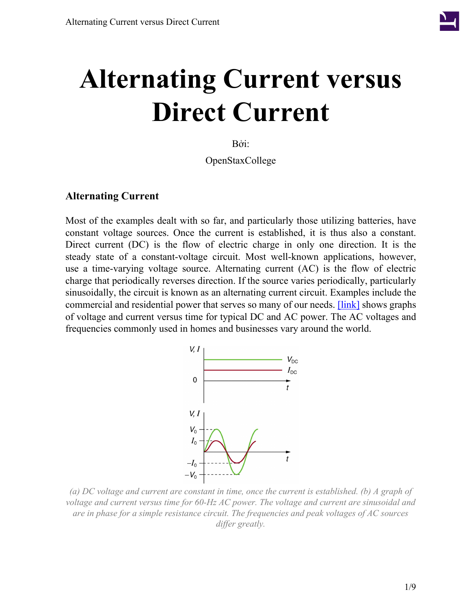

# **Alternating Current versus Direct Current**

Bởi:

OpenStaxCollege

#### **Alternating Current**

<span id="page-0-0"></span>Most of the examples dealt with so far, and particularly those utilizing batteries, have constant voltage sources. Once the current is established, it is thus also a constant. Direct current (DC) is the flow of electric charge in only one direction. It is the steady state of a constant-voltage circuit. Most well-known applications, however, use a time-varying voltage source. Alternating current (AC) is the flow of electric charge that periodically reverses direction. If the source varies periodically, particularly sinusoidally, the circuit is known as an alternating current circuit. Examples include the commercial and residential power that serves so many of our needs. [\[link\]](#page-0-0) shows graphs of voltage and current versus time for typical DC and AC power. The AC voltages and frequencies commonly used in homes and businesses vary around the world.



*(a) DC voltage and current are constant in time, once the current is established. (b) A graph of voltage and current versus time for 60-Hz AC power. The voltage and current are sinusoidal and are in phase for a simple resistance circuit. The frequencies and peak voltages of AC sources differ greatly.*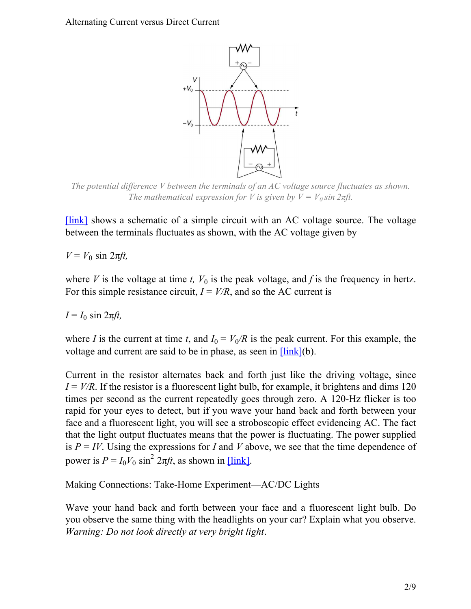<span id="page-1-0"></span>Alternating Current versus Direct Current



*The potential difference V between the terminals of an AC voltage source fluctuates as shown. The mathematical expression for V is given by*  $V = V_0 \sin 2\pi f t$ .

[\[link\]](#page-1-0) shows a schematic of a simple circuit with an AC voltage source. The voltage between the terminals fluctuates as shown, with the AC voltage given by

 $V = V_0 \sin 2πf$ *t*,

where *V* is the voltage at time *t*,  $V_0$  is the peak voltage, and *f* is the frequency in hertz. For this simple resistance circuit,  $I = V/R$ , and so the AC current is

 $I = I_0 \sin 2\pi f t$ ,

where *I* is the current at time *t*, and  $I_0 = V_0/R$  is the peak current. For this example, the voltage and current are said to be in phase, as seen in  $\frac{[\text{link}](b)}{[\text{link}](b)}$ .

Current in the resistor alternates back and forth just like the driving voltage, since  $I = V/R$ . If the resistor is a fluorescent light bulb, for example, it brightens and dims 120 times per second as the current repeatedly goes through zero. A 120-Hz flicker is too rapid for your eyes to detect, but if you wave your hand back and forth between your face and a fluorescent light, you will see a stroboscopic effect evidencing AC. The fact that the light output fluctuates means that the power is fluctuating. The power supplied is  $P = IV$ . Using the expressions for *I* and *V* above, we see that the time dependence of power is  $P = I_0 V_0 \sin^2 2\pi ft$ , as shown in [\[link\].](#page-2-0)

Making Connections: Take-Home Experiment—AC/DC Lights

Wave your hand back and forth between your face and a fluorescent light bulb. Do you observe the same thing with the headlights on your car? Explain what you observe. *Warning: Do not look directly at very bright light*.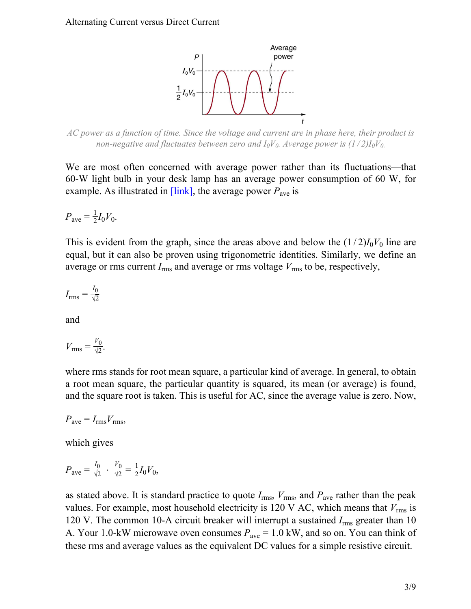

<span id="page-2-0"></span>*AC power as a function of time. Since the voltage and current are in phase here, their product is non-negative and fluctuates between zero and*  $I_0V_0$ *. Average power is*  $(1/2)I_0V_0$ *.* 

We are most often concerned with average power rather than its fluctuations—that 60-W light bulb in your desk lamp has an average power consumption of 60 W, for example. As illustrated in  $[\text{link}]$ , the average power  $P_{\text{ave}}$  is

$$
P_{\text{ave}} = \frac{1}{2} I_0 V_0.
$$

This is evident from the graph, since the areas above and below the  $(1/2)I_0V_0$  line are equal, but it can also be proven using trigonometric identities. Similarly, we define an average or rms current  $I_{\text{rms}}$  and average or rms voltage  $V_{\text{rms}}$  to be, respectively,

$$
I_{\rm rms} = \frac{I_0}{\sqrt{2}}
$$

and

$$
V_{\rm rms} = \frac{V_0}{\sqrt{2}}.
$$

where rms stands for root mean square, a particular kind of average. In general, to obtain a root mean square, the particular quantity is squared, its mean (or average) is found, and the square root is taken. This is useful for AC, since the average value is zero. Now,

 $P_{\text{ave}} = I_{\text{rms}}V_{\text{rms}}$ 

which gives

$$
P_{\text{ave}} = \frac{I_0}{\sqrt{2}} \cdot \frac{V_0}{\sqrt{2}} = \frac{1}{2} I_0 V_0,
$$

as stated above. It is standard practice to quote  $I_{\text{rms}}$ ,  $V_{\text{rms}}$ , and  $P_{\text{ave}}$  rather than the peak values. For example, most household electricity is 120 V AC, which means that  $V_{\text{rms}}$  is 120 V. The common 10-A circuit breaker will interrupt a sustained *I*rms greater than 10 A. Your 1.0-kW microwave oven consumes  $P_{\text{ave}} = 1.0 \text{ kW}$ , and so on. You can think of these rms and average values as the equivalent DC values for a simple resistive circuit.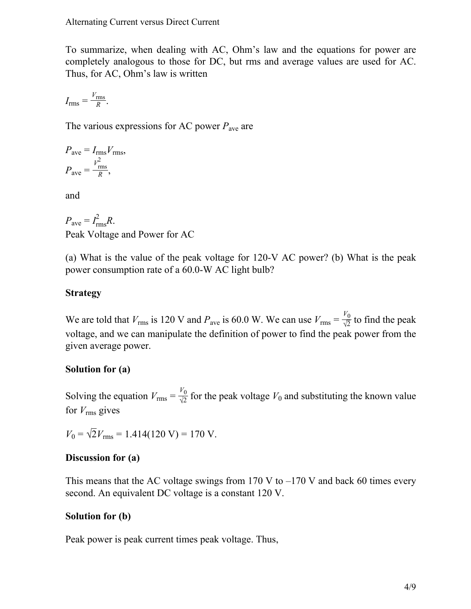To summarize, when dealing with AC, Ohm's law and the equations for power are completely analogous to those for DC, but rms and average values are used for AC. Thus, for AC, Ohm's law is written

$$
I_{\rm rms} = \frac{V_{\rm rms}}{R}.
$$

The various expressions for AC power *P*ave are

$$
P_{\text{ave}} = I_{\text{rms}} V_{\text{rms}},
$$
  

$$
P_{\text{ave}} = \frac{V_{\text{rms}}^2}{R},
$$

and

$$
P_{\text{ave}} = I_{\text{rms}}^2 R.
$$
  
Peak Voltage and Power for AC

(a) What is the value of the peak voltage for 120-V AC power? (b) What is the peak power consumption rate of a 60.0-W AC light bulb?

## **Strategy**

We are told that  $V_{\text{rms}}$  is 120 V and  $P_{\text{ave}}$  is 60.0 W. We can use  $V_{\text{rms}} = \frac{V_0}{\sqrt{2}}$  $\frac{70}{\sqrt{2}}$  to find the peak voltage, and we can manipulate the definition of power to find the peak power from the given average power.

## **Solution for (a)**

Solving the equation  $V_{\text{rms}} = \frac{V_0}{\sqrt{2}}$  $\frac{v_0}{\sqrt{2}}$  for the peak voltage  $V_0$  and substituting the known value for  $V_{\rm rms}$  gives

 $V_0 = \sqrt{2}V_{\text{rms}} = 1.414(120 \text{ V}) = 170 \text{ V}.$ 

## **Discussion for (a)**

This means that the AC voltage swings from 170 V to  $-170$  V and back 60 times every second. An equivalent DC voltage is a constant 120 V.

## **Solution for (b)**

Peak power is peak current times peak voltage. Thus,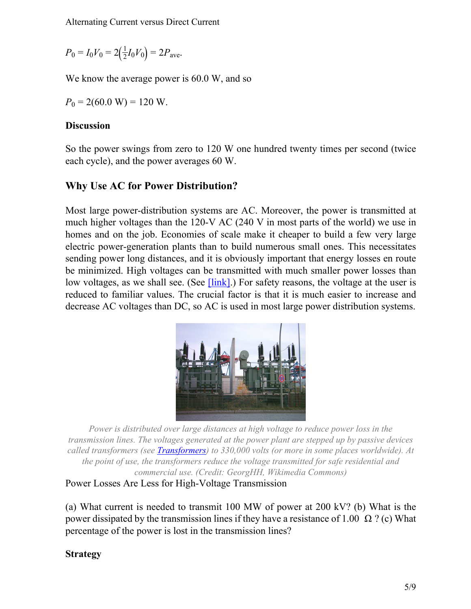$P_0 = I_0 V_0 = 2(\frac{1}{2})$  $\frac{1}{2}I_0V_0$  = 2*P*<sub>ave</sub>.

We know the average power is 60.0 W, and so

 $P_0 = 2(60.0 \text{ W}) = 120 \text{ W}.$ 

#### **Discussion**

So the power swings from zero to 120 W one hundred twenty times per second (twice each cycle), and the power averages 60 W.

## **Why Use AC for Power Distribution?**

Most large power-distribution systems are AC. Moreover, the power is transmitted at much higher voltages than the 120-V AC (240 V in most parts of the world) we use in homes and on the job. Economies of scale make it cheaper to build a few very large electric power-generation plants than to build numerous small ones. This necessitates sending power long distances, and it is obviously important that energy losses en route be minimized. High voltages can be transmitted with much smaller power losses than low voltages, as we shall see. (See  $\overline{\text{link}}$ ). For safety reasons, the voltage at the user is reduced to familiar values. The crucial factor is that it is much easier to increase and decrease AC voltages than DC, so AC is used in most large power distribution systems.



<span id="page-4-0"></span>*Power is distributed over large distances at high voltage to reduce power loss in the transmission lines. The voltages generated at the power plant are stepped up by passive devices called transformers (see [Transformers](/m42414)) to 330,000 volts (or more in some places worldwide). At the point of use, the transformers reduce the voltage transmitted for safe residential and commercial use. (Credit: GeorgHH, Wikimedia Commons)*

<span id="page-4-1"></span>Power Losses Are Less for High-Voltage Transmission

(a) What current is needed to transmit 100 MW of power at 200 kV? (b) What is the power dissipated by the transmission lines if they have a resistance of 1.00 Ω ? (c) What percentage of the power is lost in the transmission lines?

## **Strategy**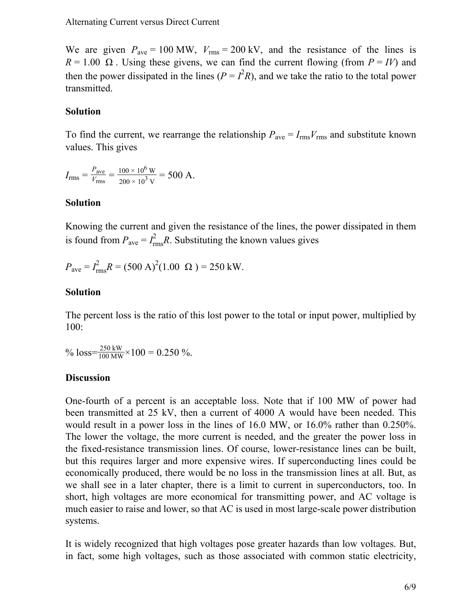We are given  $P_{\text{ave}} = 100 \text{ MW}$ ,  $V_{\text{rms}} = 200 \text{ kV}$ , and the resistance of the lines is  $R = 1.00 \Omega$ . Using these givens, we can find the current flowing (from  $P = IV$ ) and then the power dissipated in the lines  $(P = I^2 R)$ , and we take the ratio to the total power transmitted.

#### **Solution**

To find the current, we rearrange the relationship  $P_{\text{ave}} = I_{\text{rms}}V_{\text{rms}}$  and substitute known values. This gives

$$
I_{\rm rms} = \frac{P_{\rm ave}}{V_{\rm rms}} = \frac{100 \times 10^6 \,\mathrm{W}}{200 \times 10^3 \,\mathrm{V}} = 500 \,\mathrm{A}.
$$

#### **Solution**

Knowing the current and given the resistance of the lines, the power dissipated in them is found from  $P_{\text{ave}} = I_{\text{rms}}^2$  $\frac{2}{\text{rms}}R$ . Substituting the known values gives

 $P_{\text{ave}} = I_{\text{rms}}^2$  $R = (500 \text{ A})^2 (1.00 \Omega) = 250 \text{ kW}.$ 

#### **Solution**

The percent loss is the ratio of this lost power to the total or input power, multiplied by 100:

% loss= $\frac{250 \text{ kW}}{100 \text{ MW}} \times 100 = 0.250$  %.

#### **Discussion**

One-fourth of a percent is an acceptable loss. Note that if 100 MW of power had been transmitted at 25 kV, then a current of 4000 A would have been needed. This would result in a power loss in the lines of 16.0 MW, or 16.0% rather than 0.250%. The lower the voltage, the more current is needed, and the greater the power loss in the fixed-resistance transmission lines. Of course, lower-resistance lines can be built, but this requires larger and more expensive wires. If superconducting lines could be economically produced, there would be no loss in the transmission lines at all. But, as we shall see in a later chapter, there is a limit to current in superconductors, too. In short, high voltages are more economical for transmitting power, and AC voltage is much easier to raise and lower, so that AC is used in most large-scale power distribution systems.

It is widely recognized that high voltages pose greater hazards than low voltages. But, in fact, some high voltages, such as those associated with common static electricity,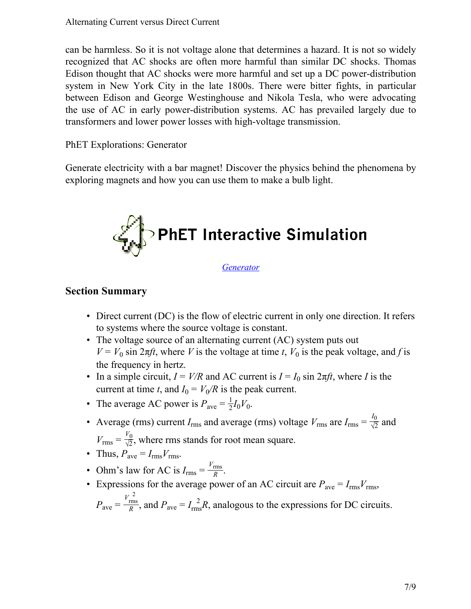can be harmless. So it is not voltage alone that determines a hazard. It is not so widely recognized that AC shocks are often more harmful than similar DC shocks. Thomas Edison thought that AC shocks were more harmful and set up a DC power-distribution system in New York City in the late 1800s. There were bitter fights, in particular between Edison and George Westinghouse and Nikola Tesla, who were advocating the use of AC in early power-distribution systems. AC has prevailed largely due to transformers and lower power losses with high-voltage transmission.

PhET Explorations: Generator

Generate electricity with a bar magnet! Discover the physics behind the phenomena by exploring magnets and how you can use them to make a bulb light.



*[Generator](/home/voer/vp/vp.transformer/src/vpt.transformer/vpt/transformer/transforms/20140124-081906-6a3ec146-1/generator_en.jar)*

## **Section Summary**

- Direct current (DC) is the flow of electric current in only one direction. It refers to systems where the source voltage is constant.
- The voltage source of an alternating current (AC) system puts out  $V = V_0 \sin 2\pi ft$ , where *V* is the voltage at time *t*,  $V_0$  is the peak voltage, and *f* is the frequency in hertz.
- In a simple circuit,  $I = V/R$  and AC current is  $I = I_0 \sin 2\pi ft$ , where *I* is the current at time *t*, and  $I_0 = V_0/R$  is the peak current.
- The average AC power is  $P_{\text{ave}} = \frac{1}{2}$  $\frac{1}{2}I_0V_0$ .
- Average (rms) current  $I_{\text{rms}}$  and average (rms) voltage  $V_{\text{rms}}$  are  $I_{\text{rms}} = \frac{I_0}{\sqrt{2}}$  $\frac{40}{\sqrt{2}}$  and  $V_{\text{rms}} = \frac{V_0}{\sqrt{2}}$  $\frac{v_0}{\sqrt{2}}$ , where rms stands for root mean square.
- Thus,  $P_{\text{ave}} = I_{\text{rms}} V_{\text{rms}}$ .
- Ohm's law for AC is  $I_{\text{rms}} = \frac{V_{\text{rms}}}{R}$  $\frac{\text{rms}}{R}$ .
- Expressions for the average power of an AC circuit are  $P_{\text{ave}} = I_{\text{rms}}V_{\text{rms}}$ ,  $P_{\text{ave}} = \frac{V_{\text{rms}}^2}{R}$ 2  $\frac{R_{\text{rms}}}{R}$ , and  $P_{\text{ave}} = I_{\text{rms}}^2$  $^{2}_{\text{ns}}R$ , analogous to the expressions for DC circuits.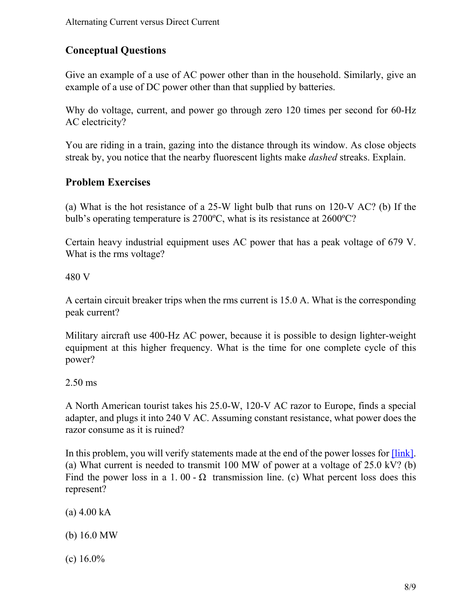## **Conceptual Questions**

Give an example of a use of AC power other than in the household. Similarly, give an example of a use of DC power other than that supplied by batteries.

Why do voltage, current, and power go through zero 120 times per second for 60-Hz AC electricity?

You are riding in a train, gazing into the distance through its window. As close objects streak by, you notice that the nearby fluorescent lights make *dashed* streaks. Explain.

## **Problem Exercises**

(a) What is the hot resistance of a 25-W light bulb that runs on 120-V AC? (b) If the bulb's operating temperature is 2700ºC, what is its resistance at 2600ºC?

Certain heavy industrial equipment uses AC power that has a peak voltage of 679 V. What is the rms voltage?

480 V

A certain circuit breaker trips when the rms current is 15.0 A. What is the corresponding peak current?

Military aircraft use 400-Hz AC power, because it is possible to design lighter-weight equipment at this higher frequency. What is the time for one complete cycle of this power?

2.50 ms

A North American tourist takes his 25.0-W, 120-V AC razor to Europe, finds a special adapter, and plugs it into 240 V AC. Assuming constant resistance, what power does the razor consume as it is ruined?

In this problem, you will verify statements made at the end of the power losses for *[link]*. (a) What current is needed to transmit 100 MW of power at a voltage of 25.0 kV? (b) Find the power loss in a 1.00 -  $\Omega$  transmission line. (c) What percent loss does this represent?

 $(a)$  4.00 kA

(b) 16.0 MW

(c)  $16.0\%$